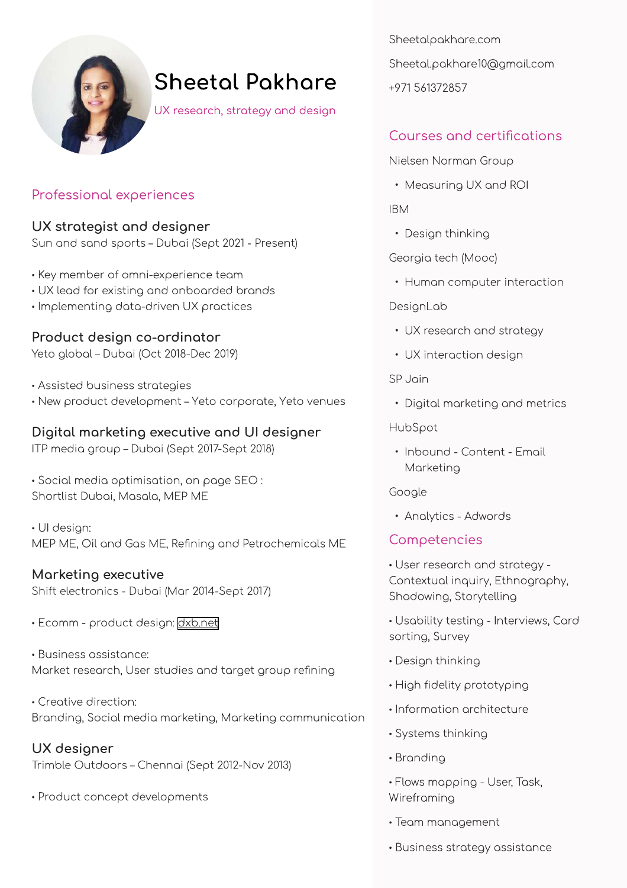

# **Sheetal Pakhare**

UX research, strategy and design

## Professional experiences

#### UX strategist and designer

Sun and sand sports - Dubai (Sept 2021 - Present)

- Key member of omni-experience team
- UX lead for existing and onboarded brands
- · Implementing data-driven UX practices

## Product design co-ordinator

Yeto global - Dubai (Oct 2018-Dec 2019)

- · Assisted business strategies
- · New product development Yeto corporate, Yeto venues

## Digital marketing executive and UI designer

ITP media group - Dubai (Sept 2017-Sept 2018)

· Social media optimisation, on page SEO : Shortlist Dubai, Masala, MEP ME

· Ul design: MEP ME, Oil and Gas ME, Refining and Petrochemicals ME

## Marketing executive

Shift electronics - Dubai (Mar 2014-Sept 2017)

· Ecomm - product design: dxb.net

· Business assistance: Market research, User studies and target group refining

• Creative direction: Branding, Social media marketing, Marketing communication

UX designer Trimble Outdoors - Chennai (Sept 2012-Nov 2013)

· Product concept developments

Sheetalpakhare.com Sheetal.pakhare10@gmail.com +971 561372857

# Courses and certifications

Nielsen Norman Group

• Measuring UX and ROI

**IBM** 

• Design thinking

Georgia tech (Mooc)

• Human computer interaction

#### DesignLab

- UX research and strategy
- UX interaction design

SP Jain

• Digital marketing and metrics

HubSpot

· Inbound - Content - Email Marketing

Google

• Analytics - Adwords

## Competencies

• User research and strategy -Contextual inquiry, Ethnography, Shadowing, Storytelling

· Usability testing - Interviews, Card sorting, Survey

- Design thinking
- High fidelity prototyping
- · Information architecture
- · Systems thinking
- Branding
- Flows mapping User, Task, Wireframing
- Team management
- · Business strategy assistance